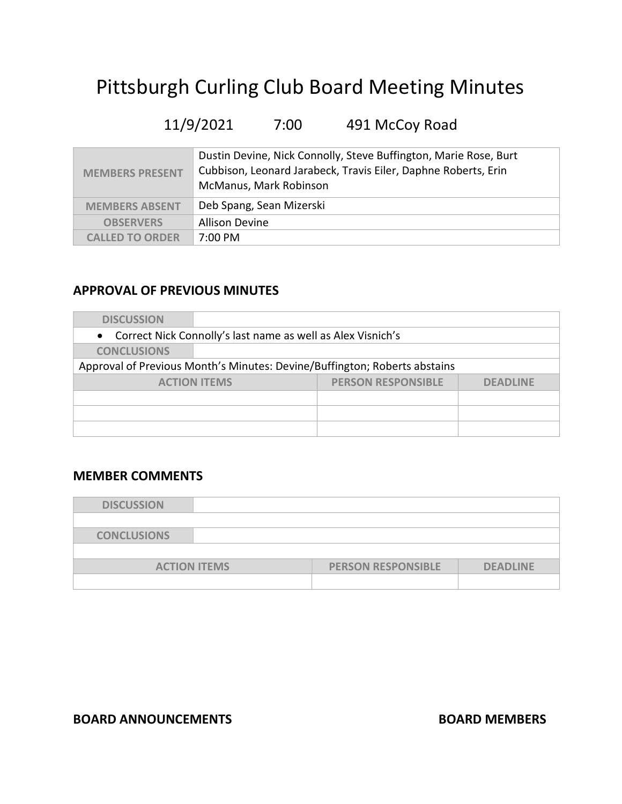# Pittsburgh Curling Club Board Meeting Minutes

# 11/9/2021 7:00 491 McCoy Road

| <b>MEMBERS PRESENT</b> | Dustin Devine, Nick Connolly, Steve Buffington, Marie Rose, Burt<br>Cubbison, Leonard Jarabeck, Travis Eiler, Daphne Roberts, Erin<br>McManus, Mark Robinson |
|------------------------|--------------------------------------------------------------------------------------------------------------------------------------------------------------|
| <b>MEMBERS ABSENT</b>  | Deb Spang, Sean Mizerski                                                                                                                                     |
| <b>OBSERVERS</b>       | <b>Allison Devine</b>                                                                                                                                        |
| <b>CALLED TO ORDER</b> | 7:00 PM                                                                                                                                                      |

#### APPROVAL OF PREVIOUS MINUTES

| <b>DISCUSSION</b>                                                         |                           |                 |
|---------------------------------------------------------------------------|---------------------------|-----------------|
| • Correct Nick Connolly's last name as well as Alex Visnich's             |                           |                 |
| <b>CONCLUSIONS</b>                                                        |                           |                 |
| Approval of Previous Month's Minutes: Devine/Buffington; Roberts abstains |                           |                 |
| <b>ACTION ITEMS</b>                                                       | <b>PERSON RESPONSIBLE</b> | <b>DEADLINE</b> |
|                                                                           |                           |                 |
|                                                                           |                           |                 |
|                                                                           |                           |                 |

### MEMBER COMMENTS

| <b>DISCUSSION</b>   |                           |                 |
|---------------------|---------------------------|-----------------|
|                     |                           |                 |
| <b>CONCLUSIONS</b>  |                           |                 |
|                     |                           |                 |
| <b>ACTION ITEMS</b> | <b>PERSON RESPONSIBLE</b> | <b>DEADLINE</b> |
|                     |                           |                 |

#### BOARD ANNOUNCEMENTS BOARD MEMBERS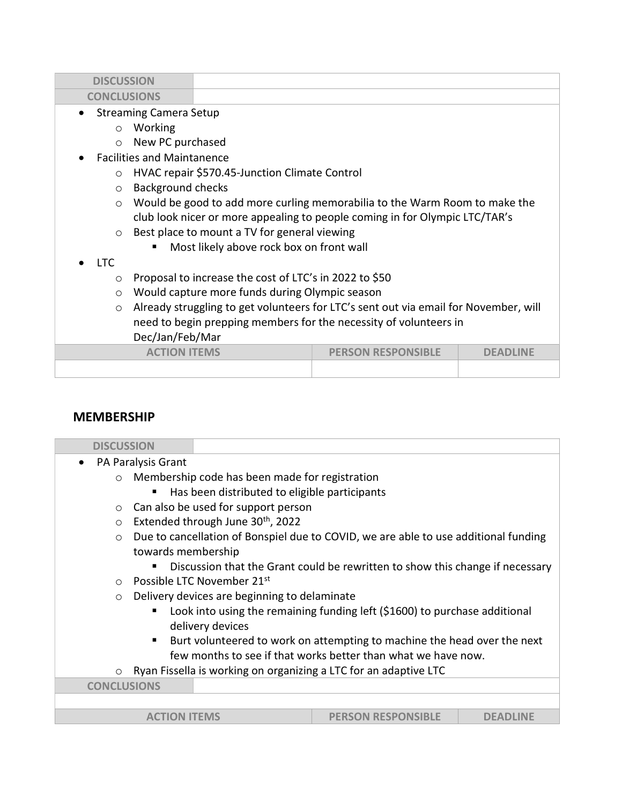| <b>DISCUSSION</b>                          |                                                        |                                                                                      |                 |
|--------------------------------------------|--------------------------------------------------------|--------------------------------------------------------------------------------------|-----------------|
| <b>CONCLUSIONS</b>                         |                                                        |                                                                                      |                 |
| <b>Streaming Camera Setup</b><br>$\bullet$ |                                                        |                                                                                      |                 |
| Working<br>$\circ$                         |                                                        |                                                                                      |                 |
| New PC purchased<br>$\circ$                |                                                        |                                                                                      |                 |
| <b>Facilities and Maintanence</b>          |                                                        |                                                                                      |                 |
| $\Omega$                                   | HVAC repair \$570.45-Junction Climate Control          |                                                                                      |                 |
| <b>Background checks</b><br>$\circ$        |                                                        |                                                                                      |                 |
| $\circ$                                    |                                                        | Would be good to add more curling memorabilia to the Warm Room to make the           |                 |
|                                            |                                                        | club look nicer or more appealing to people coming in for Olympic LTC/TAR's          |                 |
| $\circ$                                    | Best place to mount a TV for general viewing           |                                                                                      |                 |
| ٠                                          | Most likely above rock box on front wall               |                                                                                      |                 |
| LTC.                                       |                                                        |                                                                                      |                 |
| $\circ$                                    | Proposal to increase the cost of LTC's in 2022 to \$50 |                                                                                      |                 |
| $\circ$                                    | Would capture more funds during Olympic season         |                                                                                      |                 |
| $\circ$                                    |                                                        | Already struggling to get volunteers for LTC's sent out via email for November, will |                 |
|                                            |                                                        | need to begin prepping members for the necessity of volunteers in                    |                 |
| Dec/Jan/Feb/Mar                            |                                                        |                                                                                      |                 |
|                                            | <b>ACTION ITEMS</b>                                    | <b>PERSON RESPONSIBLE</b>                                                            | <b>DFADLINF</b> |
|                                            |                                                        |                                                                                      |                 |
|                                            |                                                        |                                                                                      |                 |

#### MEMBERSHIP

| <b>DISCUSSION</b>  |                                                                                     |                                                                               |                 |
|--------------------|-------------------------------------------------------------------------------------|-------------------------------------------------------------------------------|-----------------|
| $\bullet$          | PA Paralysis Grant                                                                  |                                                                               |                 |
| $\circ$            | Membership code has been made for registration                                      |                                                                               |                 |
|                    | Has been distributed to eligible participants                                       |                                                                               |                 |
| $\circ$            | Can also be used for support person                                                 |                                                                               |                 |
| $\circ$            | Extended through June 30 <sup>th</sup> , 2022                                       |                                                                               |                 |
| $\circ$            | Due to cancellation of Bonspiel due to COVID, we are able to use additional funding |                                                                               |                 |
|                    | towards membership                                                                  |                                                                               |                 |
|                    |                                                                                     | Discussion that the Grant could be rewritten to show this change if necessary |                 |
| $\circ$            | Possible LTC November 21st                                                          |                                                                               |                 |
| $\circ$            | Delivery devices are beginning to delaminate                                        |                                                                               |                 |
|                    |                                                                                     | Look into using the remaining funding left (\$1600) to purchase additional    |                 |
|                    | delivery devices                                                                    |                                                                               |                 |
|                    |                                                                                     | Burt volunteered to work on attempting to machine the head over the next      |                 |
|                    |                                                                                     | few months to see if that works better than what we have now.                 |                 |
| $\circ$            | Ryan Fissella is working on organizing a LTC for an adaptive LTC                    |                                                                               |                 |
| <b>CONCLUSIONS</b> |                                                                                     |                                                                               |                 |
|                    |                                                                                     |                                                                               |                 |
|                    | <b>ACTION ITEMS</b>                                                                 | <b>PERSON RESPONSIBLE</b>                                                     | <b>DEADLINE</b> |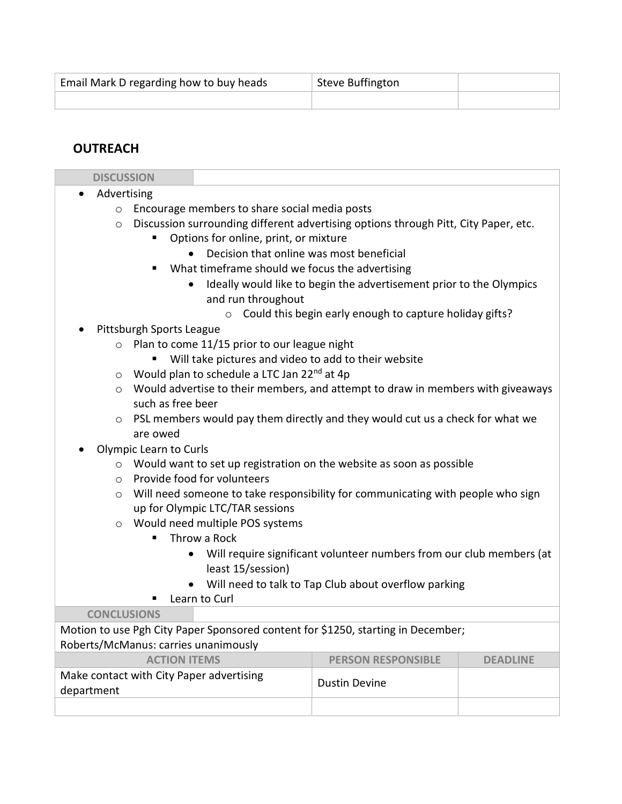| Email Mark D regarding how to buy heads | Steve Buffington |  |
|-----------------------------------------|------------------|--|
|                                         |                  |  |

# **OUTREACH**

| <b>DISCUSSION</b>        |                          |                                                         |                                                                                     |                 |
|--------------------------|--------------------------|---------------------------------------------------------|-------------------------------------------------------------------------------------|-----------------|
| Advertising<br>$\bullet$ |                          |                                                         |                                                                                     |                 |
| $\circ$                  |                          | Encourage members to share social media posts           |                                                                                     |                 |
| $\circ$                  |                          |                                                         | Discussion surrounding different advertising options through Pitt, City Paper, etc. |                 |
|                          |                          | Options for online, print, or mixture                   |                                                                                     |                 |
|                          |                          | Decision that online was most beneficial                |                                                                                     |                 |
|                          |                          | What timeframe should we focus the advertising          |                                                                                     |                 |
|                          |                          |                                                         | Ideally would like to begin the advertisement prior to the Olympics                 |                 |
|                          |                          | and run throughout                                      |                                                                                     |                 |
|                          |                          | $\circ$                                                 | Could this begin early enough to capture holiday gifts?                             |                 |
|                          | Pittsburgh Sports League |                                                         |                                                                                     |                 |
| $\circ$                  |                          | Plan to come 11/15 prior to our league night            |                                                                                     |                 |
|                          |                          | Will take pictures and video to add to their website    |                                                                                     |                 |
| $\circ$                  |                          | Would plan to schedule a LTC Jan 22 <sup>nd</sup> at 4p |                                                                                     |                 |
| $\circ$                  |                          |                                                         | Would advertise to their members, and attempt to draw in members with giveaways     |                 |
|                          | such as free beer        |                                                         |                                                                                     |                 |
| $\circ$                  |                          |                                                         | PSL members would pay them directly and they would cut us a check for what we       |                 |
|                          | are owed                 |                                                         |                                                                                     |                 |
|                          | Olympic Learn to Curls   |                                                         |                                                                                     |                 |
| $\circ$                  |                          |                                                         | Would want to set up registration on the website as soon as possible                |                 |
| $\circ$                  |                          | Provide food for volunteers                             |                                                                                     |                 |
| $\circ$                  |                          |                                                         | Will need someone to take responsibility for communicating with people who sign     |                 |
|                          |                          | up for Olympic LTC/TAR sessions                         |                                                                                     |                 |
| $\circ$                  |                          | Would need multiple POS systems                         |                                                                                     |                 |
|                          |                          | Throw a Rock                                            |                                                                                     |                 |
|                          |                          | $\bullet$                                               | Will require significant volunteer numbers from our club members (at                |                 |
|                          |                          | least 15/session)                                       |                                                                                     |                 |
|                          |                          |                                                         | Will need to talk to Tap Club about overflow parking                                |                 |
|                          |                          | Learn to Curl                                           |                                                                                     |                 |
| <b>CONCLUSIONS</b>       |                          |                                                         |                                                                                     |                 |
|                          |                          |                                                         | Motion to use Pgh City Paper Sponsored content for \$1250, starting in December;    |                 |
|                          |                          | Roberts/McManus: carries unanimously                    |                                                                                     |                 |
|                          | <b>ACTION ITEMS</b>      |                                                         | <b>PERSON RESPONSIBLE</b>                                                           | <b>DEADLINE</b> |
|                          |                          | Make contact with City Paper advertising                | <b>Dustin Devine</b>                                                                |                 |
| department               |                          |                                                         |                                                                                     |                 |
|                          |                          |                                                         |                                                                                     |                 |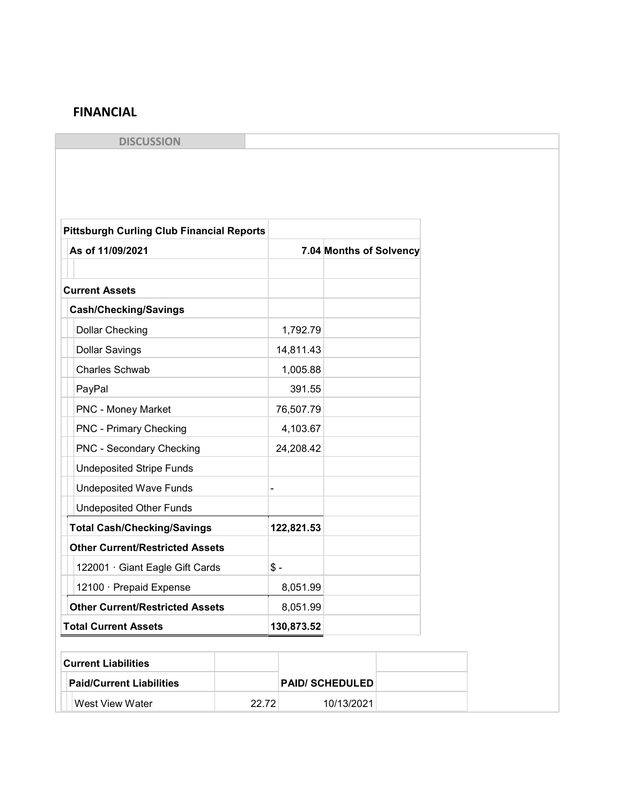## FINANCIAL

**DISCUSSION** 

| <b>Pittsburgh Curling Club Financial Reports</b> |       |            |                         |  |
|--------------------------------------------------|-------|------------|-------------------------|--|
| As of 11/09/2021                                 |       |            | 7.04 Months of Solvency |  |
| <b>Current Assets</b>                            |       |            |                         |  |
| <b>Cash/Checking/Savings</b>                     |       |            |                         |  |
| <b>Dollar Checking</b>                           |       | 1,792.79   |                         |  |
| <b>Dollar Savings</b>                            |       | 14,811.43  |                         |  |
| <b>Charles Schwab</b>                            |       | 1,005.88   |                         |  |
| PayPal                                           |       | 391.55     |                         |  |
| <b>PNC - Money Market</b>                        |       | 76,507.79  |                         |  |
| <b>PNC - Primary Checking</b>                    |       | 4,103.67   |                         |  |
| PNC - Secondary Checking                         |       | 24,208.42  |                         |  |
| <b>Undeposited Stripe Funds</b>                  |       |            |                         |  |
| <b>Undeposited Wave Funds</b>                    |       |            |                         |  |
| <b>Undeposited Other Funds</b>                   |       |            |                         |  |
| <b>Total Cash/Checking/Savings</b>               |       | 122,821.53 |                         |  |
| <b>Other Current/Restricted Assets</b>           |       |            |                         |  |
| 122001 · Giant Eagle Gift Cards                  |       | $$ -$      |                         |  |
| 12100 · Prepaid Expense                          |       | 8,051.99   |                         |  |
| <b>Other Current/Restricted Assets</b>           |       | 8,051.99   |                         |  |
| <b>Total Current Assets</b>                      |       | 130,873.52 |                         |  |
|                                                  |       |            |                         |  |
| <b>Current Liabilities</b>                       |       |            |                         |  |
| <b>Paid/Current Liabilities</b>                  |       |            | <b>PAID/ SCHEDULED</b>  |  |
| West View Water                                  | 22.72 |            | 10/13/2021              |  |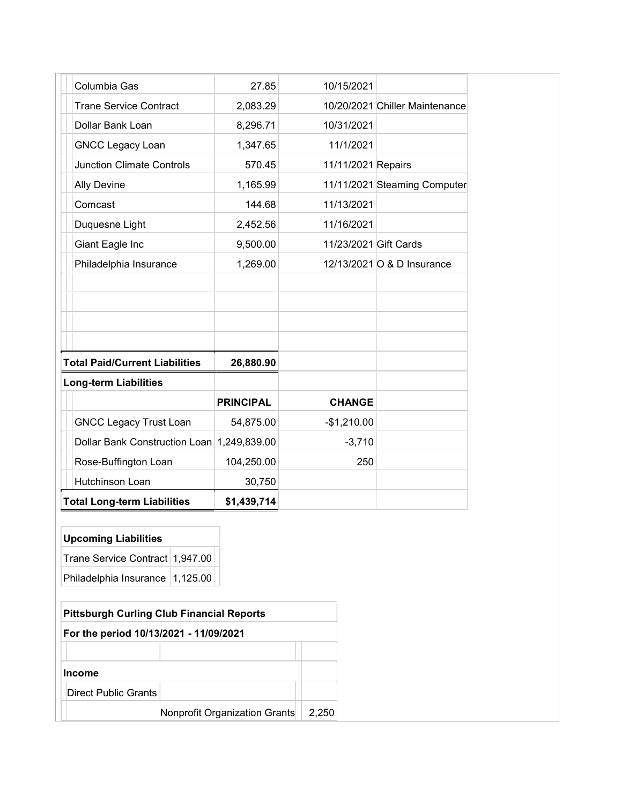| Columbia Gas                               | 27.85            | 10/15/2021            |                                |
|--------------------------------------------|------------------|-----------------------|--------------------------------|
| <b>Trane Service Contract</b>              | 2,083.29         |                       | 10/20/2021 Chiller Maintenance |
| Dollar Bank Loan                           | 8,296.71         | 10/31/2021            |                                |
| <b>GNCC Legacy Loan</b>                    | 1,347.65         | 11/1/2021             |                                |
| <b>Junction Climate Controls</b>           | 570.45           | 11/11/2021 Repairs    |                                |
| <b>Ally Devine</b>                         | 1,165.99         |                       | 11/11/2021 Steaming Computer   |
| Comcast                                    | 144.68           | 11/13/2021            |                                |
| Duquesne Light                             | 2,452.56         | 11/16/2021            |                                |
| Giant Eagle Inc                            | 9,500.00         | 11/23/2021 Gift Cards |                                |
| Philadelphia Insurance                     | 1,269.00         |                       | 12/13/2021 O & D Insurance     |
|                                            |                  |                       |                                |
|                                            |                  |                       |                                |
|                                            |                  |                       |                                |
|                                            |                  |                       |                                |
| <b>Total Paid/Current Liabilities</b>      | 26,880.90        |                       |                                |
| <b>Long-term Liabilities</b>               |                  |                       |                                |
|                                            | <b>PRINCIPAL</b> | <b>CHANGE</b>         |                                |
| <b>GNCC Legacy Trust Loan</b>              | 54,875.00        | $-$1,210.00$          |                                |
| Dollar Bank Construction Loan 1,249,839.00 |                  | $-3,710$              |                                |
| Rose-Buffington Loan                       | 104,250.00       | 250                   |                                |
| Hutchinson Loan                            | 30,750           |                       |                                |
| <b>Total Long-term Liabilities</b>         | \$1,439,714      |                       |                                |

# Upcoming Liabilities

| Trane Service Contract 1,947.00 |  |
|---------------------------------|--|
| Philadelphia Insurance 1,125.00 |  |

|                                        | <b>Pittsburgh Curling Club Financial Reports</b> |       |
|----------------------------------------|--------------------------------------------------|-------|
| For the period 10/13/2021 - 11/09/2021 |                                                  |       |
|                                        |                                                  |       |
| <b>Income</b>                          |                                                  |       |
| Direct Public Grants                   |                                                  |       |
|                                        | Nonprofit Organization Grants                    | 2.250 |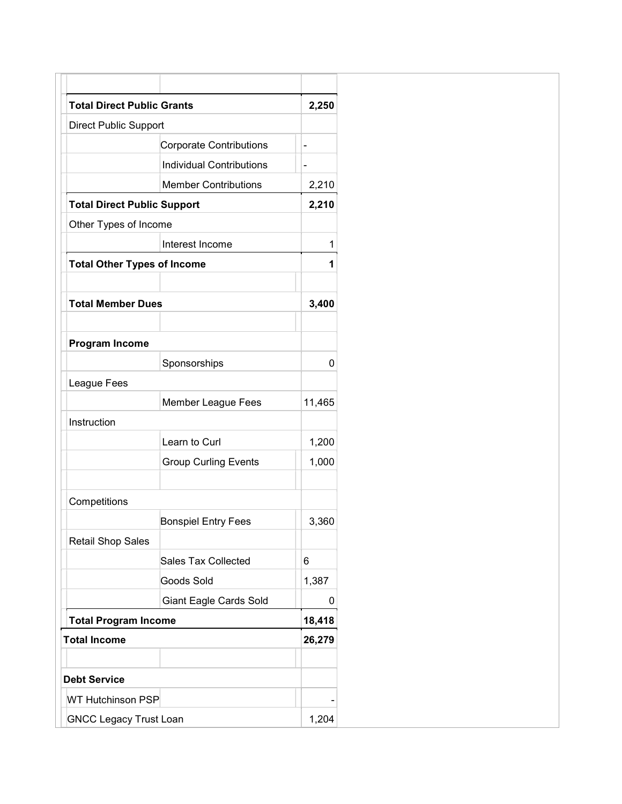| <b>Total Direct Public Grants</b>  |                                 | 2,250          |
|------------------------------------|---------------------------------|----------------|
| <b>Direct Public Support</b>       |                                 |                |
|                                    | <b>Corporate Contributions</b>  | $\blacksquare$ |
|                                    | <b>Individual Contributions</b> |                |
|                                    | <b>Member Contributions</b>     | 2,210          |
| <b>Total Direct Public Support</b> |                                 | 2,210          |
| Other Types of Income              |                                 |                |
|                                    | Interest Income                 | 1              |
| <b>Total Other Types of Income</b> |                                 | 1              |
| <b>Total Member Dues</b>           |                                 | 3,400          |
|                                    |                                 |                |
| <b>Program Income</b>              |                                 |                |
|                                    | Sponsorships                    | 0              |
| League Fees                        |                                 |                |
|                                    | Member League Fees              | 11,465         |
| Instruction                        |                                 |                |
|                                    | Learn to Curl                   | 1,200          |
|                                    | <b>Group Curling Events</b>     | 1,000          |
| Competitions                       |                                 |                |
|                                    | <b>Bonspiel Entry Fees</b>      | 3,360          |
| <b>Retail Shop Sales</b>           |                                 |                |
|                                    | <b>Sales Tax Collected</b>      | 6              |
|                                    | Goods Sold                      | 1,387          |
|                                    | <b>Giant Eagle Cards Sold</b>   | 0              |
| <b>Total Program Income</b>        |                                 | 18,418         |
| <b>Total Income</b>                |                                 | 26,279         |
|                                    |                                 |                |
| <b>Debt Service</b>                |                                 |                |
| <b>WT Hutchinson PSP</b>           |                                 |                |
| <b>GNCC Legacy Trust Loan</b>      |                                 | 1,204          |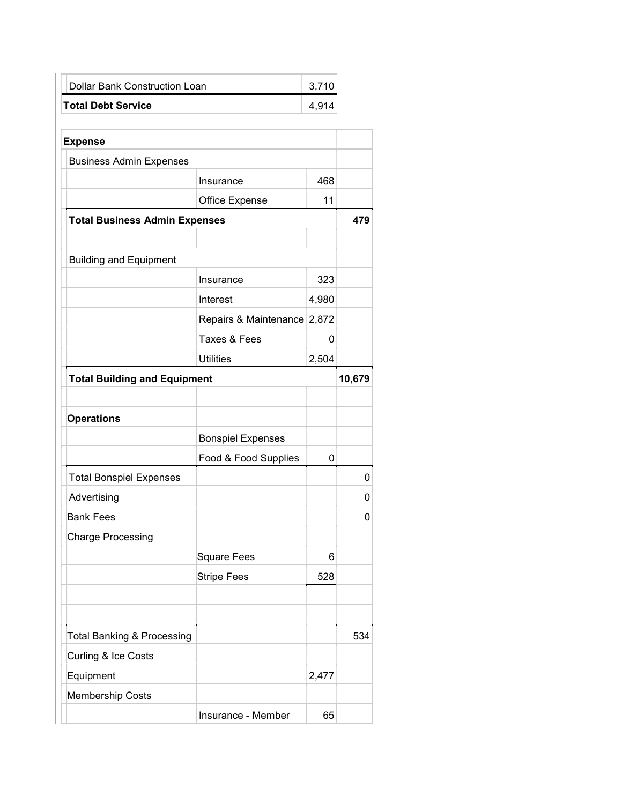| <b>Dollar Bank Construction Loan</b>  |                             | 3,710 |        |
|---------------------------------------|-----------------------------|-------|--------|
| <b>Total Debt Service</b>             |                             | 4,914 |        |
|                                       |                             |       |        |
| <b>Expense</b>                        |                             |       |        |
| <b>Business Admin Expenses</b>        |                             |       |        |
|                                       | Insurance                   | 468   |        |
|                                       | Office Expense              | 11    |        |
| <b>Total Business Admin Expenses</b>  |                             |       | 479    |
|                                       |                             |       |        |
| <b>Building and Equipment</b>         |                             |       |        |
|                                       | Insurance                   | 323   |        |
|                                       | Interest                    | 4,980 |        |
|                                       | Repairs & Maintenance 2,872 |       |        |
|                                       | Taxes & Fees                | 0     |        |
|                                       | <b>Utilities</b>            | 2,504 |        |
| <b>Total Building and Equipment</b>   |                             |       | 10,679 |
|                                       |                             |       |        |
| <b>Operations</b>                     |                             |       |        |
|                                       | <b>Bonspiel Expenses</b>    |       |        |
|                                       | Food & Food Supplies        | 0     |        |
| <b>Total Bonspiel Expenses</b>        |                             |       | 0      |
| Advertising                           |                             |       | 0      |
| <b>Bank Fees</b>                      |                             |       | 0      |
| <b>Charge Processing</b>              |                             |       |        |
|                                       | Square Fees                 | 6     |        |
|                                       | <b>Stripe Fees</b>          | 528   |        |
|                                       |                             |       |        |
|                                       |                             |       |        |
| <b>Total Banking &amp; Processing</b> |                             |       | 534    |
| Curling & Ice Costs                   |                             |       |        |
| Equipment                             |                             | 2,477 |        |
| Membership Costs                      |                             |       |        |
|                                       | Insurance - Member          | 65    |        |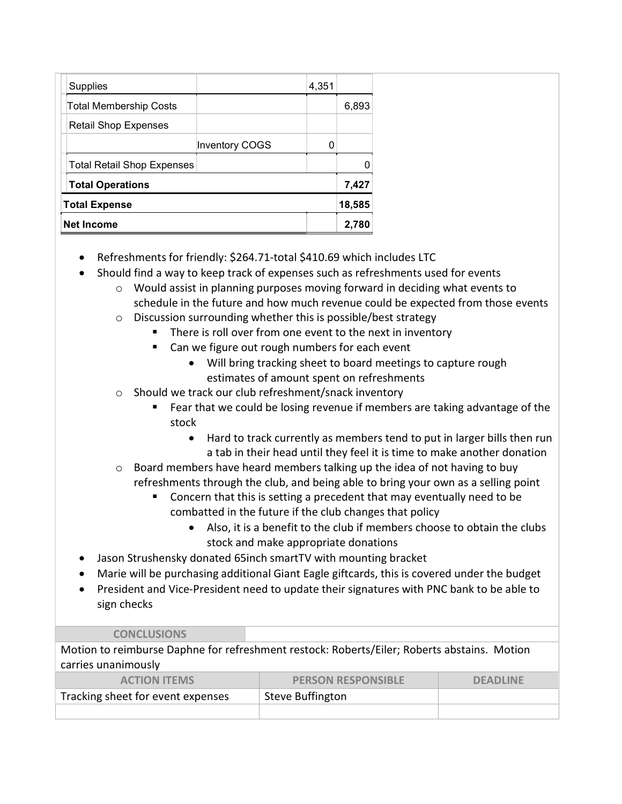| <b>Supplies</b>                   |                       | 4,351 |        |
|-----------------------------------|-----------------------|-------|--------|
| <b>Total Membership Costs</b>     |                       |       | 6,893  |
| <b>Retail Shop Expenses</b>       |                       |       |        |
|                                   | <b>Inventory COGS</b> |       |        |
| <b>Total Retail Shop Expenses</b> |                       |       |        |
| <b>Total Operations</b>           |                       |       | 7,427  |
| <b>Total Expense</b>              |                       |       | 18,585 |
| <b>Net Income</b>                 |                       |       | 2,780  |

- Refreshments for friendly: \$264.71-total \$410.69 which includes LTC
- Should find a way to keep track of expenses such as refreshments used for events
	- $\circ$  Would assist in planning purposes moving forward in deciding what events to schedule in the future and how much revenue could be expected from those events
	- o Discussion surrounding whether this is possible/best strategy
		- **There is roll over from one event to the next in inventory**
		- Can we figure out rough numbers for each event
			- Will bring tracking sheet to board meetings to capture rough estimates of amount spent on refreshments
	- o Should we track our club refreshment/snack inventory
		- Fear that we could be losing revenue if members are taking advantage of the stock
			- Hard to track currently as members tend to put in larger bills then run a tab in their head until they feel it is time to make another donation
	- $\circ$  Board members have heard members talking up the idea of not having to buy refreshments through the club, and being able to bring your own as a selling point
		- Concern that this is setting a precedent that may eventually need to be combatted in the future if the club changes that policy
			- Also, it is a benefit to the club if members choose to obtain the clubs stock and make appropriate donations
- Jason Strushensky donated 65inch smartTV with mounting bracket
- Marie will be purchasing additional Giant Eagle giftcards, this is covered under the budget
- President and Vice-President need to update their signatures with PNC bank to be able to sign checks

#### CONCLUSIONS

| Motion to reimburse Daphne for refreshment restock: Roberts/Eiler; Roberts abstains. Motion |                           |                 |  |
|---------------------------------------------------------------------------------------------|---------------------------|-----------------|--|
| carries unanimously                                                                         |                           |                 |  |
| <b>ACTION ITEMS</b>                                                                         | <b>PERSON RESPONSIBLE</b> | <b>DEADLINE</b> |  |
| Tracking sheet for event expenses                                                           | <b>Steve Buffington</b>   |                 |  |
|                                                                                             |                           |                 |  |